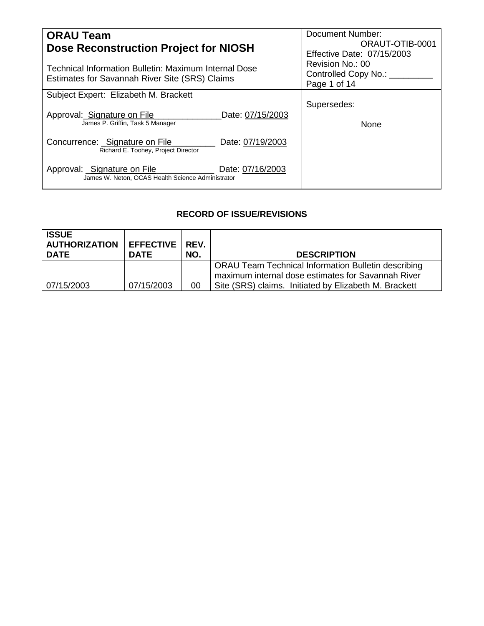| <b>ORAU Team</b>                                                                                     | <b>Document Number:</b>    |
|------------------------------------------------------------------------------------------------------|----------------------------|
| Dose Reconstruction Project for NIOSH                                                                | ORAUT-OTIB-0001            |
|                                                                                                      | Effective Date: 07/15/2003 |
| Technical Information Bulletin: Maximum Internal Dose                                                | Revision No.: 00           |
|                                                                                                      | Controlled Copy No.: ____  |
| Estimates for Savannah River Site (SRS) Claims                                                       | Page 1 of 14               |
| Subject Expert: Elizabeth M. Brackett                                                                |                            |
|                                                                                                      | Supersedes:                |
| Approval: Signature on File<br>Date: 07/15/2003                                                      |                            |
| James P. Griffin, Task 5 Manager                                                                     | None                       |
|                                                                                                      |                            |
| Concurrence: _Signature on File<br>Date: 07/19/2003                                                  |                            |
| Richard E. Toohey, Project Director                                                                  |                            |
|                                                                                                      |                            |
| Approval: Signature on File<br>Date: 07/16/2003<br>James W. Neton, OCAS Health Science Administrator |                            |
|                                                                                                      |                            |

# **RECORD OF ISSUE/REVISIONS**

| <b>ISSUE</b><br><b>AUTHORIZATION</b><br><b>DATE</b> | <b>EFFECTIVE</b><br><b>DATE</b> | REV.<br>NO. | <b>DESCRIPTION</b>                                                                                                                                                        |
|-----------------------------------------------------|---------------------------------|-------------|---------------------------------------------------------------------------------------------------------------------------------------------------------------------------|
| 07/15/2003                                          | 07/15/2003                      | 00          | <b>ORAU Team Technical Information Bulletin describing</b><br>maximum internal dose estimates for Savannah River<br>Site (SRS) claims. Initiated by Elizabeth M. Brackett |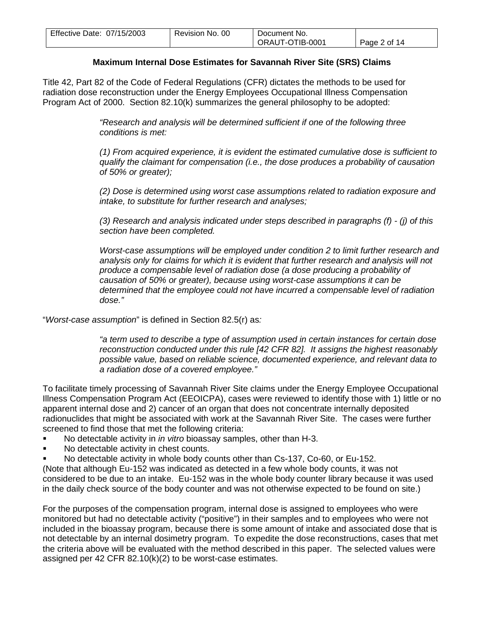| Effective Date: 07/15/2003 | Revision No. 00 | Document No.    |              |
|----------------------------|-----------------|-----------------|--------------|
|                            |                 | ORAUT-OTIB-0001 | Page 2 of 14 |

## **Maximum Internal Dose Estimates for Savannah River Site (SRS) Claims**

Title 42, Part 82 of the Code of Federal Regulations (CFR) dictates the methods to be used for radiation dose reconstruction under the Energy Employees Occupational Illness Compensation Program Act of 2000. Section 82.10(k) summarizes the general philosophy to be adopted:

> *"Research and analysis will be determined sufficient if one of the following three conditions is met:*

*(1) From acquired experience, it is evident the estimated cumulative dose is sufficient to qualify the claimant for compensation (i.e., the dose produces a probability of causation of 50% or greater);*

*(2) Dose is determined using worst case assumptions related to radiation exposure and intake, to substitute for further research and analyses;*

*(3) Research and analysis indicated under steps described in paragraphs (f) - (j) of this section have been completed.*

*Worst-case assumptions will be employed under condition 2 to limit further research and analysis only for claims for which it is evident that further research and analysis will not produce a compensable level of radiation dose (a dose producing a probability of causation of 50% or greater), because using worst-case assumptions it can be determined that the employee could not have incurred a compensable level of radiation dose."*

"*Worst-case assumption*" is defined in Section 82.5(r) as*:*

*"a term used to describe a type of assumption used in certain instances for certain dose reconstruction conducted under this rule [42 CFR 82]. It assigns the highest reasonably possible value, based on reliable science, documented experience, and relevant data to a radiation dose of a covered employee."*

To facilitate timely processing of Savannah River Site claims under the Energy Employee Occupational Illness Compensation Program Act (EEOICPA), cases were reviewed to identify those with 1) little or no apparent internal dose and 2) cancer of an organ that does not concentrate internally deposited radionuclides that might be associated with work at the Savannah River Site. The cases were further screened to find those that met the following criteria:

- No detectable activity in *in vitro* bioassay samples, other than H-3.
- No detectable activity in chest counts.
- No detectable activity in whole body counts other than Cs-137, Co-60, or Eu-152.

(Note that although Eu-152 was indicated as detected in a few whole body counts, it was not considered to be due to an intake. Eu-152 was in the whole body counter library because it was used in the daily check source of the body counter and was not otherwise expected to be found on site.)

For the purposes of the compensation program, internal dose is assigned to employees who were monitored but had no detectable activity ("positive") in their samples and to employees who were not included in the bioassay program, because there is some amount of intake and associated dose that is not detectable by an internal dosimetry program. To expedite the dose reconstructions, cases that met the criteria above will be evaluated with the method described in this paper. The selected values were assigned per 42 CFR 82.10(k)(2) to be worst-case estimates.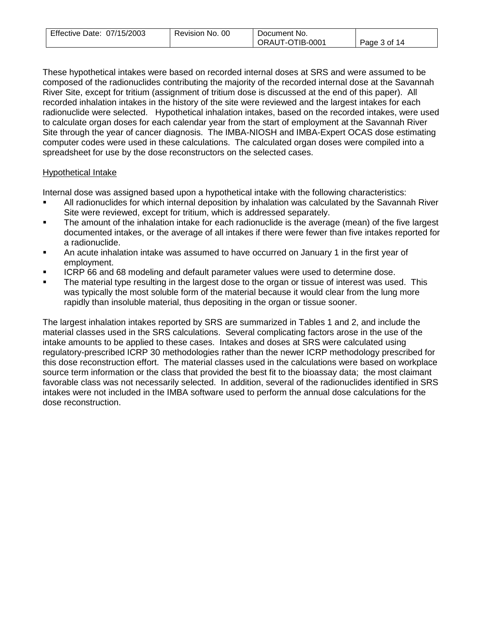| Effective Date: 07/15/2003 | Revision No. 00 | Document No.    |              |
|----------------------------|-----------------|-----------------|--------------|
|                            |                 | ORAUT-OTIB-0001 | Page 3 of 14 |

These hypothetical intakes were based on recorded internal doses at SRS and were assumed to be composed of the radionuclides contributing the majority of the recorded internal dose at the Savannah River Site, except for tritium (assignment of tritium dose is discussed at the end of this paper). All recorded inhalation intakes in the history of the site were reviewed and the largest intakes for each radionuclide were selected. Hypothetical inhalation intakes, based on the recorded intakes, were used to calculate organ doses for each calendar year from the start of employment at the Savannah River Site through the year of cancer diagnosis. The IMBA-NIOSH and IMBA-Expert OCAS dose estimating computer codes were used in these calculations. The calculated organ doses were compiled into a spreadsheet for use by the dose reconstructors on the selected cases.

## Hypothetical Intake

Internal dose was assigned based upon a hypothetical intake with the following characteristics:

- All radionuclides for which internal deposition by inhalation was calculated by the Savannah River Site were reviewed, except for tritium, which is addressed separately.
- The amount of the inhalation intake for each radionuclide is the average (mean) of the five largest documented intakes, or the average of all intakes if there were fewer than five intakes reported for a radionuclide.
- An acute inhalation intake was assumed to have occurred on January 1 in the first year of employment.
- ICRP 66 and 68 modeling and default parameter values were used to determine dose.
- The material type resulting in the largest dose to the organ or tissue of interest was used. This was typically the most soluble form of the material because it would clear from the lung more rapidly than insoluble material, thus depositing in the organ or tissue sooner.

The largest inhalation intakes reported by SRS are summarized in Tables 1 and 2, and include the material classes used in the SRS calculations. Several complicating factors arose in the use of the intake amounts to be applied to these cases. Intakes and doses at SRS were calculated using regulatory-prescribed ICRP 30 methodologies rather than the newer ICRP methodology prescribed for this dose reconstruction effort. The material classes used in the calculations were based on workplace source term information or the class that provided the best fit to the bioassay data; the most claimant favorable class was not necessarily selected. In addition, several of the radionuclides identified in SRS intakes were not included in the IMBA software used to perform the annual dose calculations for the dose reconstruction.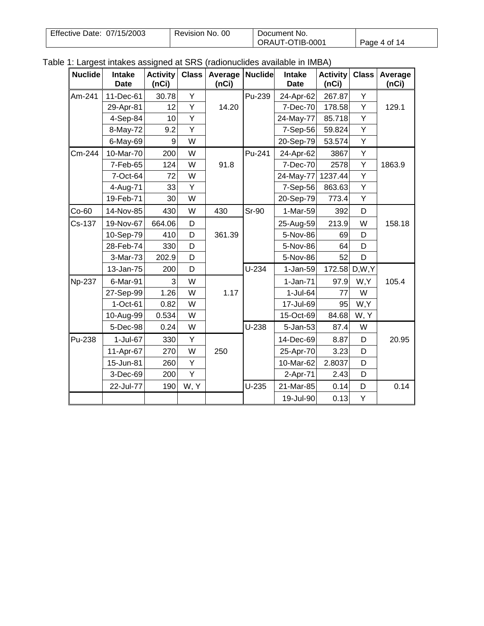| Effective Date: 07/15/2003 | Revision No. 00 | Document No.    |              |
|----------------------------|-----------------|-----------------|--------------|
|                            |                 | ORAUT-OTIB-0001 | Page 4 of 14 |

| Table 1: Largest intakes assigned at SRS (radionuclides available in IMBA) |  |  |  |  |
|----------------------------------------------------------------------------|--|--|--|--|
|----------------------------------------------------------------------------|--|--|--|--|

| <b>Nuclide</b> | Intake<br><b>Date</b> | <b>Activity</b><br>(nCi) | <b>Class</b> | Average<br>(nCi) | <b>Nuclide</b> | Intake<br><b>Date</b> | <b>Activity</b><br>(nCi) | <b>Class</b> | Average<br>(nCi) |
|----------------|-----------------------|--------------------------|--------------|------------------|----------------|-----------------------|--------------------------|--------------|------------------|
| Am-241         | 11-Dec-61             | 30.78                    | Υ            |                  | Pu-239         | 24-Apr-62             | 267.87                   | Y            |                  |
|                | 29-Apr-81             | 12                       | Y            | 14.20            |                | 7-Dec-70              | 178.58                   | Υ            | 129.1            |
|                | 4-Sep-84              | 10                       | Υ            |                  |                | 24-May-77             | 85.718                   | Υ            |                  |
|                | 8-May-72              | 9.2                      | Y            |                  |                | 7-Sep-56              | 59.824                   | Υ            |                  |
|                | 6-May-69              | 9                        | W            |                  |                | 20-Sep-79             | 53.574                   | Υ            |                  |
| Cm-244         | 10-Mar-70             | 200                      | W            |                  | Pu-241         | 24-Apr-62             | 3867                     | Υ            |                  |
|                | 7-Feb-65              | 124                      | W            | 91.8             |                | 7-Dec-70              | 2578                     | Υ            | 1863.9           |
|                | 7-Oct-64              | 72                       | W            |                  |                | 24-May-77             | 1237.44                  | Υ            |                  |
|                | 4-Aug-71              | 33                       | Y            |                  |                | 7-Sep-56              | 863.63                   | Υ            |                  |
|                | 19-Feb-71             | 30                       | W            |                  |                | 20-Sep-79             | 773.4                    | Υ            |                  |
| $Co-60$        | 14-Nov-85             | 430                      | W            | 430              | <b>Sr-90</b>   | 1-Mar-59              | 392                      | D            |                  |
| Cs-137         | 19-Nov-67             | 664.06                   | D            |                  |                | 25-Aug-59             | 213.9                    | W            | 158.18           |
|                | 10-Sep-79             | 410                      | D            | 361.39           |                | 5-Nov-86              | 69                       | D            |                  |
|                | 28-Feb-74             | 330                      | D            |                  |                | 5-Nov-86              | 64                       | D            |                  |
|                | 3-Mar-73              | 202.9                    | D            |                  |                | 5-Nov-86              | 52                       | D            |                  |
|                | 13-Jan-75             | 200                      | D            |                  | $U-234$        | $1-Jan-59$            | 172.58 D,W,Y             |              |                  |
| <b>Np-237</b>  | 6-Mar-91              | 3                        | W            |                  |                | $1-Jan-71$            | 97.9                     | W,Y          | 105.4            |
|                | 27-Sep-99             | 1.26                     | W            | 1.17             |                | 1-Jul-64              | 77                       | W            |                  |
|                | $1-Oct-61$            | 0.82                     | W            |                  |                | 17-Jul-69             | 95                       | W,Y          |                  |
|                | 10-Aug-99             | 0.534                    | W            |                  |                | 15-Oct-69             | 84.68                    | W, Y         |                  |
|                | 5-Dec-98              | 0.24                     | W            |                  | $U-238$        | 5-Jan-53              | 87.4                     | W            |                  |
| Pu-238         | 1-Jul-67              | 330                      | Υ            |                  |                | 14-Dec-69             | 8.87                     | D            | 20.95            |
|                | 11-Apr-67             | 270                      | W            | 250              |                | 25-Apr-70             | 3.23                     | D            |                  |
|                | 15-Jun-81             | 260                      | Υ            |                  |                | 10-Mar-62             | 2.8037                   | D            |                  |
|                | 3-Dec-69              | 200                      | Υ            |                  |                | 2-Apr-71              | 2.43                     | D            |                  |
|                | 22-Jul-77             | 190                      | W, Y         |                  | $U-235$        | 21-Mar-85             | 0.14                     | D            | 0.14             |
|                |                       |                          |              |                  |                | 19-Jul-90             | 0.13                     | Υ            |                  |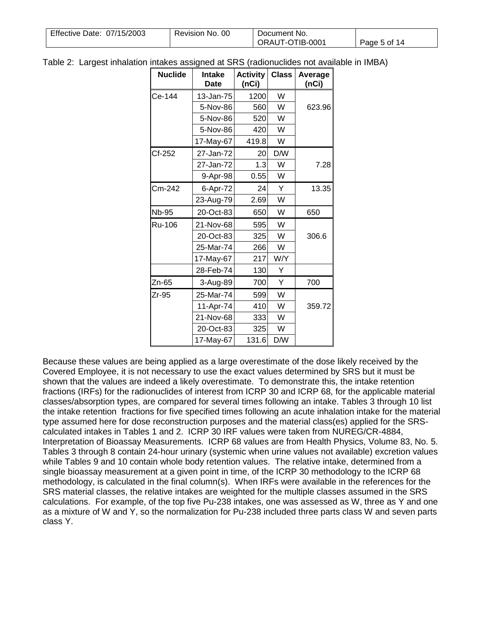| Effective Date: 07/15/2003 | Revision No. 00 | Document No.    |              |
|----------------------------|-----------------|-----------------|--------------|
|                            |                 | ORAUT-OTIB-0001 | Page 5 of 14 |

Table 2: Largest inhalation intakes assigned at SRS (radionuclides not available in IMBA)

| <b>Nuclide</b> | <b>Intake</b><br><b>Date</b> | <b>Activity</b><br>(nCi) | <b>Class</b> | Average<br>(nCi) |
|----------------|------------------------------|--------------------------|--------------|------------------|
| Ce-144         | 13-Jan-75                    | 1200                     | W            |                  |
|                | 5-Nov-86                     | 560                      | W            | 623.96           |
|                | 5-Nov-86                     | 520                      | W            |                  |
|                | 5-Nov-86                     | 420                      | W            |                  |
|                | 17-May-67                    | 419.8                    | W            |                  |
| Cf-252         | 27-Jan-72                    | 20                       | D/W          |                  |
|                | 27-Jan-72                    | 1.3                      | W            | 7.28             |
|                | 9-Apr-98                     | 0.55                     | W            |                  |
| Cm-242         | 6-Apr-72                     | 24                       | Y            | 13.35            |
|                | 23-Aug-79                    | 2.69                     | W            |                  |
| <b>Nb-95</b>   | 20-Oct-83                    | 650                      | W            | 650              |
| Ru-106         | 21-Nov-68                    | 595                      | W            |                  |
|                | 20-Oct-83                    | 325                      | W            | 306.6            |
|                | 25-Mar-74                    | 266                      | W            |                  |
|                | 17-May-67                    | 217                      | W/Y          |                  |
|                | 28-Feb-74                    | 130                      | Υ            |                  |
| Zn-65          | 3-Aug-89                     | 700                      | Y            | 700              |
| Zr-95          | 25-Mar-74                    | 599                      | W            |                  |
|                | 11-Apr-74                    | 410                      | W            | 359.72           |
|                | 21-Nov-68                    | 333                      | W            |                  |
|                | 20-Oct-83                    | 325                      | W            |                  |
|                | 17-May-67                    | 131.6                    | D/W          |                  |

Because these values are being applied as a large overestimate of the dose likely received by the Covered Employee, it is not necessary to use the exact values determined by SRS but it must be shown that the values are indeed a likely overestimate. To demonstrate this, the intake retention fractions (IRFs) for the radionuclides of interest from ICRP 30 and ICRP 68, for the applicable material classes/absorption types, are compared for several times following an intake. Tables 3 through 10 list the intake retention fractions for five specified times following an acute inhalation intake for the material type assumed here for dose reconstruction purposes and the material class(es) applied for the SRScalculated intakes in Tables 1 and 2. ICRP 30 IRF values were taken from NUREG/CR-4884, Interpretation of Bioassay Measurements. ICRP 68 values are from Health Physics, Volume 83, No. 5. Tables 3 through 8 contain 24-hour urinary (systemic when urine values not available) excretion values while Tables 9 and 10 contain whole body retention values. The relative intake, determined from a single bioassay measurement at a given point in time, of the ICRP 30 methodology to the ICRP 68 methodology, is calculated in the final column(s). When IRFs were available in the references for the SRS material classes, the relative intakes are weighted for the multiple classes assumed in the SRS calculations. For example, of the top five Pu-238 intakes, one was assessed as W, three as Y and one as a mixture of W and Y, so the normalization for Pu-238 included three parts class W and seven parts class Y.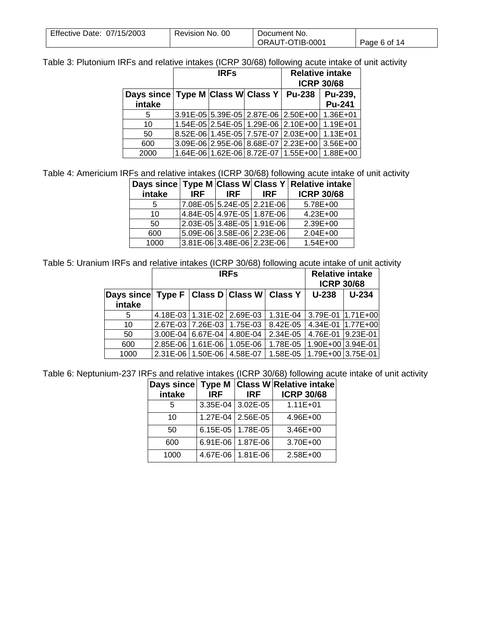| Effective Date: 07/15/2003 | Revision No. 00 | Document No.    |              |
|----------------------------|-----------------|-----------------|--------------|
|                            |                 | ORAUT-OTIB-0001 | Page 6 of 14 |

Table 3: Plutonium IRFs and relative intakes (ICRP 30/68) following acute intake of unit activity

|                                                     | <b>IRFs</b> |  |  |                                                | <b>Relative intake</b><br><b>ICRP 30/68</b> |
|-----------------------------------------------------|-------------|--|--|------------------------------------------------|---------------------------------------------|
| Days since   Type M   Class W   Class Y  <br>intake |             |  |  | <b>Pu-238</b>                                  | Pu-239,<br><b>Pu-241</b>                    |
| 5                                                   |             |  |  | 3.91E-05 5.39E-05 2.87E-06 2.50E+00            | $1.36E + 01$                                |
| 10                                                  |             |  |  | 1.54E-05 2.54E-05 1.29E-06 2.10E+00 1.19E+01   |                                             |
| 50                                                  |             |  |  | 8.52E-06   1.45E-05   7.57E-07   2.03E+00      | $1.13E + 01$                                |
| 600                                                 |             |  |  | $3.09E-06$ 2.95E-06 8.68E-07 2.23E+00 3.56E+00 |                                             |
| 2000                                                |             |  |  | 1.64E-06 1.62E-06 8.72E-07 1.55E+00 1.88E+00   |                                             |

Table 4: Americium IRFs and relative intakes (ICRP 30/68) following acute intake of unit activity

|        |      |      |                            | Days since Type M Class W Class Y Relative intake |
|--------|------|------|----------------------------|---------------------------------------------------|
| intake | IRF. | IRF. | <b>IRF</b>                 | <b>ICRP 30/68</b>                                 |
| 5      |      |      | 7.08E-05 5.24E-05 2.21E-06 | 5.78E+00                                          |
| 10     |      |      | 4.84E-05 4.97E-05 1.87E-06 | $4.23E + 00$                                      |
| 50     |      |      | 2.03E-05 3.48E-05 1.91E-06 | 2.39E+00                                          |
| 600    |      |      | 5.09E-06 3.58E-06 2.23E-06 | $2.04E + 00$                                      |
| 1000   |      |      | 3.81E-06 3.48E-06 2.23E-06 | $1.54E + 00$                                      |

Table 5: Uranium IRFs and relative intakes (ICRP 30/68) following acute intake of unit activity

|                                                           | <b>IRFs</b>         |                            |          | <b>Relative intake</b><br><b>ICRP 30/68</b> |         |
|-----------------------------------------------------------|---------------------|----------------------------|----------|---------------------------------------------|---------|
| Days since Type F   Class D   Class W   Class Y<br>intake |                     |                            |          | $U-238$                                     | $U-234$ |
| 5                                                         |                     | 4.18E-03 1.31E-02 2.69E-03 | 1.31E-04 | 3.79E-01 1.71E+00                           |         |
| 10                                                        |                     | 2.67E-03 7.26E-03 1.75E-03 | 8.42E-05 | 4.34E-01 1.77E+00                           |         |
| 50                                                        |                     | 3.00E-04 6.67E-04 4.80E-04 | 2.34E-05 | 4.76E-01 9.23E-01                           |         |
| 600                                                       | 2.85E-06   1.61E-06 | 1.05E-06                   | 1.78E-05 | $1.90E+00$ 3.94E-01                         |         |
| 1000                                                      | 2.31E-06   1.50E-06 | 4.58E-07                   | 1.58E-05 | $1.79E+00$ 3.75E-01                         |         |

Table 6: Neptunium-237 IRFs and relative intakes (ICRP 30/68) following acute intake of unit activity

| Days since |            |                     | Type M Class W Relative intake |
|------------|------------|---------------------|--------------------------------|
| intake     | <b>IRF</b> | <b>IRF</b>          | <b>ICRP 30/68</b>              |
|            |            | 3.35E-04 3.02E-05   | $1.11E + 01$                   |
| 10         |            | 1.27E-04   2.56E-05 | $4.96E + 00$                   |
| 50         |            | 6.15E-05   1.78E-05 | 3.46E+00                       |
| 600        |            | 6.91E-06   1.87E-06 | 3.70E+00                       |
| 1000       |            | 4.67E-06   1.81E-06 | $2.58E + 00$                   |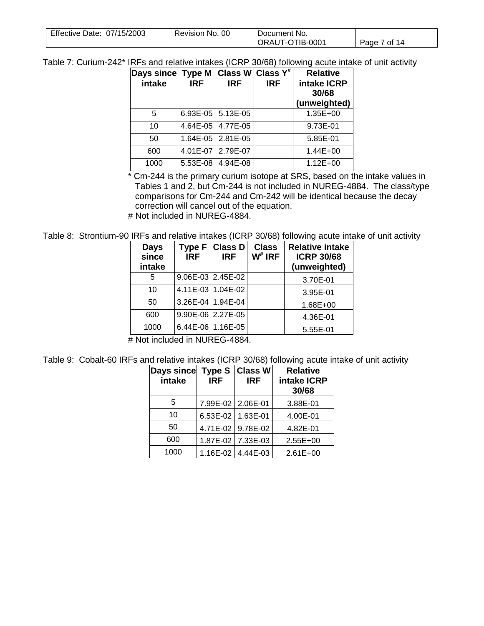| Effective Date: 07/15/2003 | Revision No. 00 | Document No.    |              |
|----------------------------|-----------------|-----------------|--------------|
|                            |                 | ORAUT-OTIB-0001 | Page 7 of 14 |

Table 7: Curium-242\* IRFs and relative intakes (ICRP 30/68) following acute intake of unit activity

| Days since  Type M $ {\sf Class~W} $ Class ${\sf Y}^{\#}$<br>intake | <b>IRF</b> | <b>IRF</b>                  | <b>IRF</b> | <b>Relative</b><br>intake ICRP<br>30/68<br>(unweighted) |
|---------------------------------------------------------------------|------------|-----------------------------|------------|---------------------------------------------------------|
| 5                                                                   |            | 6.93E-05 $\vert$ 5.13E-05   |            | 1.35E+00                                                |
| 10                                                                  |            | 4.64E-05   4.77E-05         |            | 9.73E-01                                                |
| 50                                                                  |            | $1.64E - 05$   $2.81E - 05$ |            | 5.85E-01                                                |
| 600                                                                 |            | 4.01E-07 2.79E-07           |            | $1.44E + 00$                                            |
| 1000                                                                | 5.53E-08   | 4.94E-08                    |            | $1.12E + 00$                                            |

\* Cm-244 is the primary curium isotope at SRS, based on the intake values in Tables 1 and 2, but Cm-244 is not included in NUREG-4884. The class/type comparisons for Cm-244 and Cm-242 will be identical because the decay correction will cancel out of the equation.

# Not included in NUREG-4884.

Table 8: Strontium-90 IRFs and relative intakes (ICRP 30/68) following acute intake of unit activity

| <b>Days</b><br>since<br>intake | <b>IRF</b> | Type F Class D<br><b>IRF</b>          | <b>Class</b><br>$W^*$ IRF | <b>Relative intake</b><br><b>ICRP 30/68</b><br>(unweighted) |
|--------------------------------|------------|---------------------------------------|---------------------------|-------------------------------------------------------------|
| 5                              |            | $9.06E-03$ 2.45E-02                   |                           | 3.70E-01                                                    |
| 10                             |            | 4.11E-03 1.04E-02                     |                           | 3.95E-01                                                    |
| 50                             |            | 3.26E-04 1.94E-04                     |                           | 1.68E+00                                                    |
| 600                            |            | 9.90E-06 2.27E-05                     |                           | 4.36E-01                                                    |
| 1000<br>.                      | .          | $6.44E-06$ 1.16E-05<br>$\blacksquare$ |                           | 5.55E-01                                                    |

# Not included in NUREG-4884.

Table 9: Cobalt-60 IRFs and relative intakes (ICRP 30/68) following acute intake of unit activity

| Days since<br>intake | <b>Type S</b><br><b>IRF</b> | <b>Class W</b><br><b>IRF</b> | <b>Relative</b><br>intake ICRP<br>30/68 |
|----------------------|-----------------------------|------------------------------|-----------------------------------------|
| 5                    | 7.99E-02 2.06E-01           |                              | 3.88E-01                                |
| 10                   | 6.53E-02   1.63E-01         |                              | 4.00E-01                                |
| 50                   |                             | 4.71E-02 9.78E-02            | 4.82E-01                                |
| 600                  |                             | 1.87E-02 7.33E-03            | $2.55E+00$                              |
| 1000                 |                             | 1.16E-02 4.44E-03            | $2.61E+00$                              |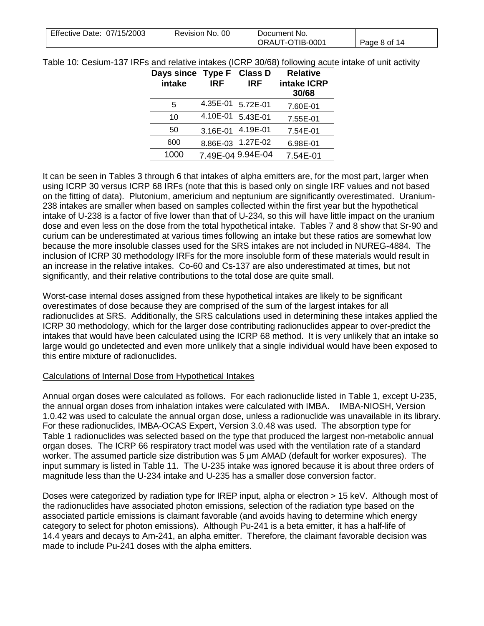| Effective Date: 07/15/2003 | Revision No. 00 | Document No.    |              |
|----------------------------|-----------------|-----------------|--------------|
|                            |                 | ORAUT-OTIB-0001 | Page 8 of 14 |

Table 10: Cesium-137 IRFs and relative intakes (ICRP 30/68) following acute intake of unit activity

| Days since<br>intake | <b>Type F</b><br><b>IRF</b> | <b>Class D</b><br><b>IRF</b> | <b>Relative</b><br>intake ICRP<br>30/68 |
|----------------------|-----------------------------|------------------------------|-----------------------------------------|
| 5                    | 4.35E-01                    | 5.72E-01                     | 7.60E-01                                |
| 10                   | 4.10E-01                    | 5.43E-01                     | 7.55E-01                                |
| 50                   | 3.16E-01                    | 4.19E-01                     | 7.54E-01                                |
| 600                  | 8.86E-03                    | 1.27E-02                     | 6.98E-01                                |
| 1000                 |                             | 7.49E-049.94E-04             | 7.54E-01                                |

It can be seen in Tables 3 through 6 that intakes of alpha emitters are, for the most part, larger when using ICRP 30 versus ICRP 68 IRFs (note that this is based only on single IRF values and not based on the fitting of data). Plutonium, americium and neptunium are significantly overestimated. Uranium-238 intakes are smaller when based on samples collected within the first year but the hypothetical intake of U-238 is a factor of five lower than that of U-234, so this will have little impact on the uranium dose and even less on the dose from the total hypothetical intake. Tables 7 and 8 show that Sr-90 and curium can be underestimated at various times following an intake but these ratios are somewhat low because the more insoluble classes used for the SRS intakes are not included in NUREG-4884. The inclusion of ICRP 30 methodology IRFs for the more insoluble form of these materials would result in an increase in the relative intakes. Co-60 and Cs-137 are also underestimated at times, but not significantly, and their relative contributions to the total dose are quite small.

Worst-case internal doses assigned from these hypothetical intakes are likely to be significant overestimates of dose because they are comprised of the sum of the largest intakes for all radionuclides at SRS. Additionally, the SRS calculations used in determining these intakes applied the ICRP 30 methodology, which for the larger dose contributing radionuclides appear to over-predict the intakes that would have been calculated using the ICRP 68 method. It is very unlikely that an intake so large would go undetected and even more unlikely that a single individual would have been exposed to this entire mixture of radionuclides.

## Calculations of Internal Dose from Hypothetical Intakes

Annual organ doses were calculated as follows. For each radionuclide listed in Table 1, except U-235, the annual organ doses from inhalation intakes were calculated with IMBA. IMBA-NIOSH, Version 1.0.42 was used to calculate the annual organ dose, unless a radionuclide was unavailable in its library. For these radionuclides, IMBA-OCAS Expert, Version 3.0.48 was used. The absorption type for Table 1 radionuclides was selected based on the type that produced the largest non-metabolic annual organ doses. The ICRP 66 respiratory tract model was used with the ventilation rate of a standard worker. The assumed particle size distribution was 5 μm AMAD (default for worker exposures). The input summary is listed in Table 11. The U-235 intake was ignored because it is about three orders of magnitude less than the U-234 intake and U-235 has a smaller dose conversion factor.

Doses were categorized by radiation type for IREP input, alpha or electron > 15 keV. Although most of the radionuclides have associated photon emissions, selection of the radiation type based on the associated particle emissions is claimant favorable (and avoids having to determine which energy category to select for photon emissions). Although Pu-241 is a beta emitter, it has a half-life of 14.4 years and decays to Am-241, an alpha emitter. Therefore, the claimant favorable decision was made to include Pu-241 doses with the alpha emitters.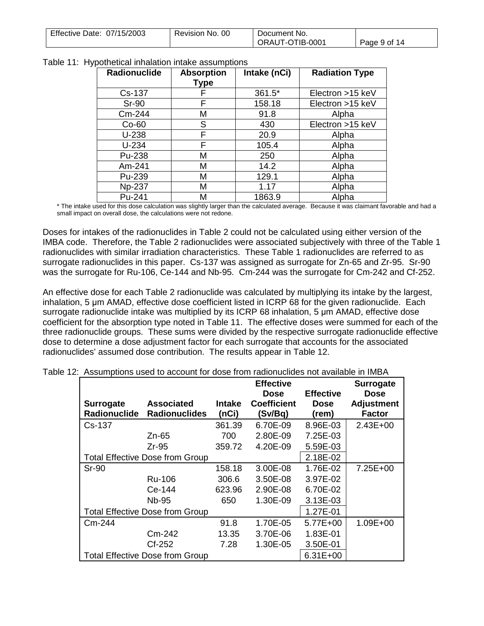| Effective Date: 07/15/2003 | - OC<br>Revision No. | Document No.    |              |
|----------------------------|----------------------|-----------------|--------------|
|                            |                      | ORAUT-OTIB-0001 | Page 9 of 14 |

| Radionuclide  | <b>Absorption</b><br><b>Type</b> | Intake (nCi) | <b>Radiation Type</b> |
|---------------|----------------------------------|--------------|-----------------------|
| Cs-137        | F                                | 361.5*       | Electron >15 keV      |
| <b>Sr-90</b>  | F                                | 158.18       | Electron >15 keV      |
| Cm-244        | Μ                                | 91.8         | Alpha                 |
| $Co-60$       | S                                | 430          | Electron >15 keV      |
| $U-238$       | F                                | 20.9         | Alpha                 |
| $U-234$       | F                                | 105.4        | Alpha                 |
| Pu-238        | Μ                                | 250          | Alpha                 |
| Am-241        | M                                | 14.2         | Alpha                 |
| Pu-239        | Μ                                | 129.1        | Alpha                 |
| <b>Np-237</b> | Μ                                | 1.17         | Alpha                 |
| Pu-241        | М                                | 1863.9       | Alpha                 |

Table 11: Hypothetical inhalation intake assumptions

\* The intake used for this dose calculation was slightly larger than the calculated average. Because it was claimant favorable and had a small impact on overall dose, the calculations were not redone.

Doses for intakes of the radionuclides in Table 2 could not be calculated using either version of the IMBA code. Therefore, the Table 2 radionuclides were associated subjectively with three of the Table 1 radionuclides with similar irradiation characteristics. These Table 1 radionuclides are referred to as surrogate radionuclides in this paper. Cs-137 was assigned as surrogate for Zn-65 and Zr-95. Sr-90 was the surrogate for Ru-106, Ce-144 and Nb-95. Cm-244 was the surrogate for Cm-242 and Cf-252.

An effective dose for each Table 2 radionuclide was calculated by multiplying its intake by the largest, inhalation, 5 μm AMAD, effective dose coefficient listed in ICRP 68 for the given radionuclide. Each surrogate radionuclide intake was multiplied by its ICRP 68 inhalation, 5 μm AMAD, effective dose coefficient for the absorption type noted in Table 11. The effective doses were summed for each of the three radionuclide groups. These sums were divided by the respective surrogate radionuclide effective dose to determine a dose adjustment factor for each surrogate that accounts for the associated radionuclides' assumed dose contribution. The results appear in Table 12.

| <b>Surrogate</b><br><b>Radionuclide</b> | <b>Associated</b><br><b>Radionuclides</b> | <b>Intake</b><br>(nCi) | <b>Effective</b><br>Dose<br><b>Coefficient</b><br>(Sv/Bq) | <b>Effective</b><br><b>Dose</b><br>(rem) | <b>Surrogate</b><br><b>Dose</b><br><b>Adjustment</b><br><b>Factor</b> |
|-----------------------------------------|-------------------------------------------|------------------------|-----------------------------------------------------------|------------------------------------------|-----------------------------------------------------------------------|
| Cs-137                                  |                                           | 361.39                 | 6.70E-09                                                  | 8.96E-03                                 | 2.43E+00                                                              |
|                                         | Zn-65                                     | 700                    | 2.80E-09                                                  | 7.25E-03                                 |                                                                       |
|                                         | Zr-95                                     | 359.72                 | 4.20E-09                                                  | 5.59E-03                                 |                                                                       |
|                                         | <b>Total Effective Dose from Group</b>    |                        |                                                           | 2.18E-02                                 |                                                                       |
| $Sr-90$                                 |                                           | 158.18                 | 3.00E-08                                                  | 1.76E-02                                 | 7.25E+00                                                              |
|                                         | Ru-106                                    | 306.6                  | 3.50E-08                                                  | 3.97E-02                                 |                                                                       |
|                                         | Ce-144                                    | 623.96                 | 2.90E-08                                                  | 6.70E-02                                 |                                                                       |
|                                         | <b>Nb-95</b>                              | 650                    | 1.30E-09                                                  | 3.13E-03                                 |                                                                       |
|                                         | <b>Total Effective Dose from Group</b>    |                        |                                                           | 1.27E-01                                 |                                                                       |
| Cm-244                                  |                                           | 91.8                   | 1.70E-05                                                  | 5.77E+00                                 | 1.09E+00                                                              |
|                                         | Cm-242                                    | 13.35                  | 3.70E-06                                                  | 1.83E-01                                 |                                                                       |
|                                         | Cf-252                                    | 7.28                   | 1.30E-05                                                  | 3.50E-01                                 |                                                                       |
|                                         | <b>Total Effective Dose from Group</b>    |                        |                                                           | $6.31E+00$                               |                                                                       |

Table 12: Assumptions used to account for dose from radionuclides not available in IMBA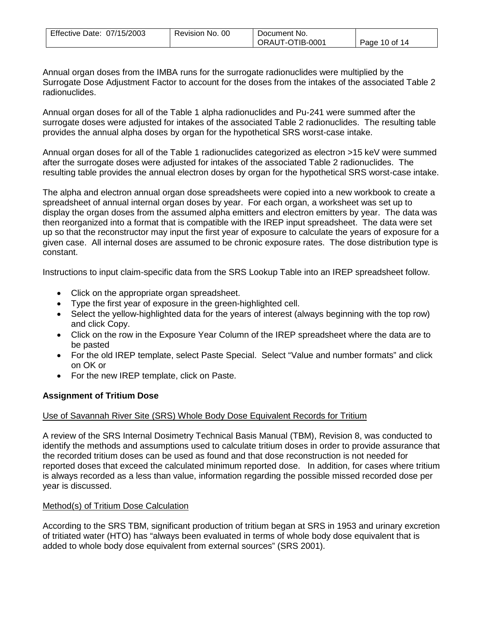| Effective Date: 07/15/2003 | Revision No. 00 | Document No.    |               |
|----------------------------|-----------------|-----------------|---------------|
|                            |                 | ORAUT-OTIB-0001 | Page 10 of 14 |

Annual organ doses from the IMBA runs for the surrogate radionuclides were multiplied by the Surrogate Dose Adjustment Factor to account for the doses from the intakes of the associated Table 2 radionuclides.

Annual organ doses for all of the Table 1 alpha radionuclides and Pu-241 were summed after the surrogate doses were adjusted for intakes of the associated Table 2 radionuclides. The resulting table provides the annual alpha doses by organ for the hypothetical SRS worst-case intake.

Annual organ doses for all of the Table 1 radionuclides categorized as electron >15 keV were summed after the surrogate doses were adjusted for intakes of the associated Table 2 radionuclides. The resulting table provides the annual electron doses by organ for the hypothetical SRS worst-case intake.

The alpha and electron annual organ dose spreadsheets were copied into a new workbook to create a spreadsheet of annual internal organ doses by year. For each organ, a worksheet was set up to display the organ doses from the assumed alpha emitters and electron emitters by year. The data was then reorganized into a format that is compatible with the IREP input spreadsheet. The data were set up so that the reconstructor may input the first year of exposure to calculate the years of exposure for a given case. All internal doses are assumed to be chronic exposure rates. The dose distribution type is constant.

Instructions to input claim-specific data from the SRS Lookup Table into an IREP spreadsheet follow.

- Click on the appropriate organ spreadsheet.
- Type the first year of exposure in the green-highlighted cell.
- Select the yellow-highlighted data for the years of interest (always beginning with the top row) and click Copy.
- Click on the row in the Exposure Year Column of the IREP spreadsheet where the data are to be pasted
- For the old IREP template, select Paste Special. Select "Value and number formats" and click on OK or
- For the new IREP template, click on Paste.

## **Assignment of Tritium Dose**

#### Use of Savannah River Site (SRS) Whole Body Dose Equivalent Records for Tritium

A review of the SRS Internal Dosimetry Technical Basis Manual (TBM), Revision 8, was conducted to identify the methods and assumptions used to calculate tritium doses in order to provide assurance that the recorded tritium doses can be used as found and that dose reconstruction is not needed for reported doses that exceed the calculated minimum reported dose. In addition, for cases where tritium is always recorded as a less than value, information regarding the possible missed recorded dose per year is discussed.

#### Method(s) of Tritium Dose Calculation

According to the SRS TBM, significant production of tritium began at SRS in 1953 and urinary excretion of tritiated water (HTO) has "always been evaluated in terms of whole body dose equivalent that is added to whole body dose equivalent from external sources" (SRS 2001).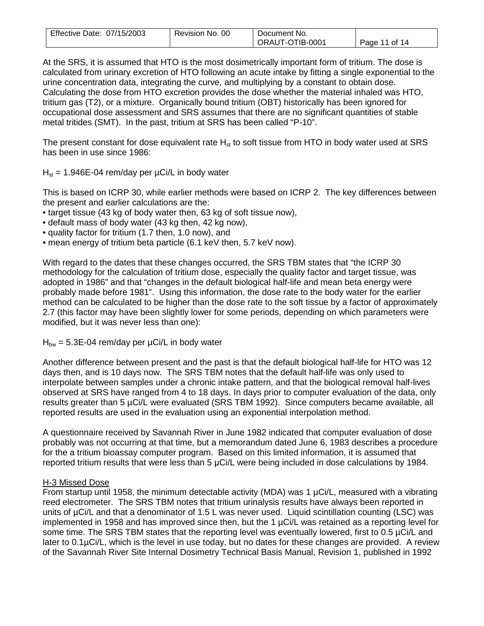| Effective Date: 07/15/2003 | Revision No. 00 | Document No.    |               |
|----------------------------|-----------------|-----------------|---------------|
|                            |                 | ORAUT-OTIB-0001 | Page 11 of 14 |

At the SRS, it is assumed that HTO is the most dosimetrically important form of tritium. The dose is calculated from urinary excretion of HTO following an acute intake by fitting a single exponential to the urine concentration data, integrating the curve, and multiplying by a constant to obtain dose. Calculating the dose from HTO excretion provides the dose whether the material inhaled was HTO, tritium gas (T2), or a mixture. Organically bound tritium (OBT) historically has been ignored for occupational dose assessment and SRS assumes that there are no significant quantities of stable metal tritides (SMT). In the past, tritium at SRS has been called "P-10".

The present constant for dose equivalent rate  $H_{st}$  to soft tissue from HTO in body water used at SRS has been in use since 1986:

 $H_{st}$  = 1.946E-04 rem/day per  $\mu$ Ci/L in body water

This is based on ICRP 30, while earlier methods were based on ICRP 2. The key differences between the present and earlier calculations are the:

- target tissue (43 kg of body water then, 63 kg of soft tissue now),
- default mass of body water (43 kg then, 42 kg now),
- quality factor for tritium (1.7 then, 1.0 now), and
- mean energy of tritium beta particle (6.1 keV then, 5.7 keV now).

With regard to the dates that these changes occurred, the SRS TBM states that "the ICRP 30 methodology for the calculation of tritium dose, especially the quality factor and target tissue, was adopted in 1986" and that "changes in the default biological half-life and mean beta energy were probably made before 1981". Using this information, the dose rate to the body water for the earlier method can be calculated to be higher than the dose rate to the soft tissue by a factor of approximately 2.7 (this factor may have been slightly lower for some periods, depending on which parameters were modified, but it was never less than one):

 $H_{bw} = 5.3E-04$  rem/day per  $\mu$ Ci/L in body water

Another difference between present and the past is that the default biological half-life for HTO was 12 days then, and is 10 days now. The SRS TBM notes that the default half-life was only used to interpolate between samples under a chronic intake pattern, and that the biological removal half-lives observed at SRS have ranged from 4 to 18 days. In days prior to computer evaluation of the data, only results greater than 5 µCi/L were evaluated (SRS TBM 1992). Since computers became available, all reported results are used in the evaluation using an exponential interpolation method.

A questionnaire received by Savannah River in June 1982 indicated that computer evaluation of dose probably was not occurring at that time, but a memorandum dated June 6, 1983 describes a procedure for the a tritium bioassay computer program. Based on this limited information, it is assumed that reported tritium results that were less than 5 μCi/L were being included in dose calculations by 1984.

## H-3 Missed Dose

From startup until 1958, the minimum detectable activity (MDA) was 1 µCi/L, measured with a vibrating reed electrometer. The SRS TBM notes that tritium urinalysis results have always been reported in units of µCi/L and that a denominator of 1.5 L was never used. Liquid scintillation counting (LSC) was implemented in 1958 and has improved since then, but the 1 µCi/L was retained as a reporting level for some time. The SRS TBM states that the reporting level was eventually lowered, first to 0.5 µCi/L and later to 0.1µCi/L, which is the level in use today, but no dates for these changes are provided. A review of the Savannah River Site Internal Dosimetry Technical Basis Manual, Revision 1, published in 1992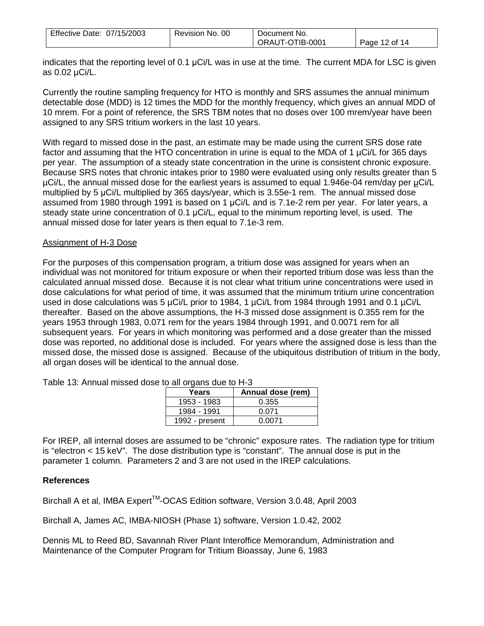| Effective Date: 07/15/2003 | Revision No. 00 | Document No.    |               |
|----------------------------|-----------------|-----------------|---------------|
|                            |                 | ORAUT-OTIB-0001 | Page 12 of 14 |

indicates that the reporting level of 0.1 μCi/L was in use at the time. The current MDA for LSC is given as 0.02 µCi/L.

Currently the routine sampling frequency for HTO is monthly and SRS assumes the annual minimum detectable dose (MDD) is 12 times the MDD for the monthly frequency, which gives an annual MDD of 10 mrem. For a point of reference, the SRS TBM notes that no doses over 100 mrem/year have been assigned to any SRS tritium workers in the last 10 years.

With regard to missed dose in the past, an estimate may be made using the current SRS dose rate factor and assuming that the HTO concentration in urine is equal to the MDA of 1 µCi/L for 365 days per year. The assumption of a steady state concentration in the urine is consistent chronic exposure. Because SRS notes that chronic intakes prior to 1980 were evaluated using only results greater than 5 µCi/L, the annual missed dose for the earliest years is assumed to equal 1.946e-04 rem/day per μCi/L multiplied by 5 μCi/L multiplied by 365 days/year, which is 3.55e-1 rem. The annual missed dose assumed from 1980 through 1991 is based on 1 μCi/L and is 7.1e-2 rem per year. For later years, a steady state urine concentration of 0.1 μCi/L, equal to the minimum reporting level, is used. The annual missed dose for later years is then equal to 7.1e-3 rem.

### Assignment of H-3 Dose

For the purposes of this compensation program, a tritium dose was assigned for years when an individual was not monitored for tritium exposure or when their reported tritium dose was less than the calculated annual missed dose. Because it is not clear what tritium urine concentrations were used in dose calculations for what period of time, it was assumed that the minimum tritium urine concentration used in dose calculations was 5 µCi/L prior to 1984, 1 µCi/L from 1984 through 1991 and 0.1 µCi/L thereafter. Based on the above assumptions, the H-3 missed dose assignment is 0.355 rem for the years 1953 through 1983, 0.071 rem for the years 1984 through 1991, and 0.0071 rem for all subsequent years. For years in which monitoring was performed and a dose greater than the missed dose was reported, no additional dose is included. For years where the assigned dose is less than the missed dose, the missed dose is assigned. Because of the ubiquitous distribution of tritium in the body, all organ doses will be identical to the annual dose.

| Years          | Annual dose (rem) |
|----------------|-------------------|
| 1953 - 1983    | 0.355             |
| 1984 - 1991    | 0.071             |
| 1992 - present | 0 0071            |

Table 13: Annual missed dose to all organs due to H-3

For IREP, all internal doses are assumed to be "chronic" exposure rates. The radiation type for tritium is "electron < 15 keV". The dose distribution type is "constant". The annual dose is put in the parameter 1 column. Parameters 2 and 3 are not used in the IREP calculations.

## **References**

Birchall A et al, IMBA Expert<sup>™</sup>-OCAS Edition software, Version 3.0.48, April 2003

Birchall A, James AC, IMBA-NIOSH (Phase 1) software, Version 1.0.42, 2002

Dennis ML to Reed BD, Savannah River Plant Interoffice Memorandum, Administration and Maintenance of the Computer Program for Tritium Bioassay, June 6, 1983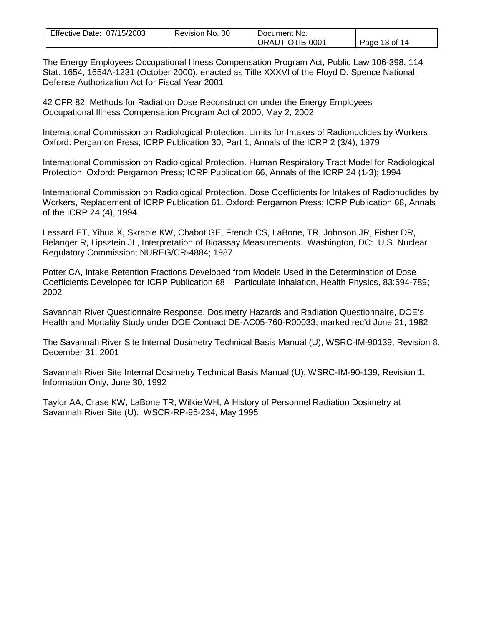| Effective Date: 07/15/2003 | Revision No. 00 | Document No.    |               |
|----------------------------|-----------------|-----------------|---------------|
|                            |                 | ORAUT-OTIB-0001 | Page 13 of 14 |

The Energy Employees Occupational Illness Compensation Program Act, Public Law 106-398, 114 Stat. 1654, 1654A-1231 (October 2000), enacted as Title XXXVI of the Floyd D. Spence National Defense Authorization Act for Fiscal Year 2001

42 CFR 82, Methods for Radiation Dose Reconstruction under the Energy Employees Occupational Illness Compensation Program Act of 2000, May 2, 2002

International Commission on Radiological Protection. Limits for Intakes of Radionuclides by Workers. Oxford: Pergamon Press; ICRP Publication 30, Part 1; Annals of the ICRP 2 (3/4); 1979

International Commission on Radiological Protection. Human Respiratory Tract Model for Radiological Protection. Oxford: Pergamon Press; ICRP Publication 66, Annals of the ICRP 24 (1-3); 1994

International Commission on Radiological Protection. Dose Coefficients for Intakes of Radionuclides by Workers, Replacement of ICRP Publication 61. Oxford: Pergamon Press; ICRP Publication 68, Annals of the ICRP 24 (4), 1994.

Lessard ET, Yihua X, Skrable KW, Chabot GE, French CS, LaBone, TR, Johnson JR, Fisher DR, Belanger R, Lipsztein JL, Interpretation of Bioassay Measurements. Washington, DC: U.S. Nuclear Regulatory Commission; NUREG/CR-4884; 1987

Potter CA, Intake Retention Fractions Developed from Models Used in the Determination of Dose Coefficients Developed for ICRP Publication 68 – Particulate Inhalation, Health Physics, 83:594-789; 2002

Savannah River Questionnaire Response, Dosimetry Hazards and Radiation Questionnaire, DOE's Health and Mortality Study under DOE Contract DE-AC05-760-R00033; marked rec'd June 21, 1982

The Savannah River Site Internal Dosimetry Technical Basis Manual (U), WSRC-IM-90139, Revision 8, December 31, 2001

Savannah River Site Internal Dosimetry Technical Basis Manual (U), WSRC-IM-90-139, Revision 1, Information Only, June 30, 1992

Taylor AA, Crase KW, LaBone TR, Wilkie WH, A History of Personnel Radiation Dosimetry at Savannah River Site (U). WSCR-RP-95-234, May 1995